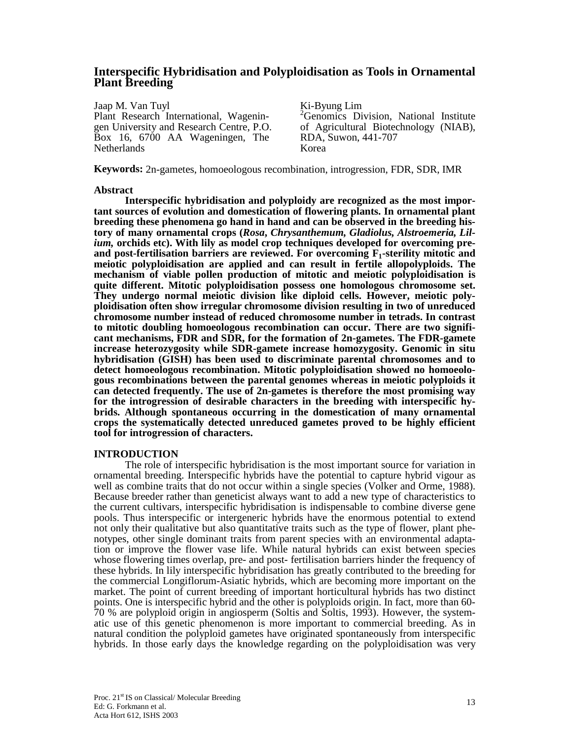# **Interspecific Hybridisation and Polyploidisation as Tools in Ornamental Plant Breeding**

Jaap M. Van Tuyl Plant Research International, Wageningen University and Research Centre, P.O. Box 16, 6700 AA Wageningen, The **Netherlands** 

Ki-Byung Lim <sup>2</sup>Genomics Division, National Institute of Agricultural Biotechnology (NIAB), RDA, Suwon, 441-707 Korea

**Keywords:** 2n-gametes, homoeologous recombination, introgression, FDR, SDR, IMR

# **Abstract**

**Interspecific hybridisation and polyploidy are recognized as the most important sources of evolution and domestication of flowering plants. In ornamental plant breeding these phenomena go hand in hand and can be observed in the breeding history of many ornamental crops (***Rosa***,** *Chrysanthemum, Gladiolus, Alstroemeria, Lilium*, orchids etc). With lily as model crop techniques developed for overcoming pre**and post-fertilisation barriers are reviewed. For overcoming F1-sterility mitotic and meiotic polyploidisation are applied and can result in fertile allopolyploids. The mechanism of viable pollen production of mitotic and meiotic polyploidisation is quite different. Mitotic polyploidisation possess one homologous chromosome set. They undergo normal meiotic division like diploid cells. However, meiotic polyploidisation often show irregular chromosome division resulting in two of unreduced chromosome number instead of reduced chromosome number in tetrads. In contrast to mitotic doubling homoeologous recombination can occur. There are two significant mechanisms, FDR and SDR, for the formation of 2n-gametes. The FDR-gamete increase heterozygosity while SDR-gamete increase homozygosity. Genomic in situ hybridisation (GISH) has been used to discriminate parental chromosomes and to detect homoeologous recombination. Mitotic polyploidisation showed no homoeologous recombinations between the parental genomes whereas in meiotic polyploids it can detected frequently. The use of 2n-gametes is therefore the most promising way for the introgression of desirable characters in the breeding with interspecific hybrids. Although spontaneous occurring in the domestication of many ornamental crops the systematically detected unreduced gametes proved to be highly efficient tool for introgression of characters.** 

# **INTRODUCTION**

The role of interspecific hybridisation is the most important source for variation in ornamental breeding. Interspecific hybrids have the potential to capture hybrid vigour as well as combine traits that do not occur within a single species (Volker and Orme, 1988). Because breeder rather than geneticist always want to add a new type of characteristics to the current cultivars, interspecific hybridisation is indispensable to combine diverse gene pools. Thus interspecific or intergeneric hybrids have the enormous potential to extend not only their qualitative but also quantitative traits such as the type of flower, plant phenotypes, other single dominant traits from parent species with an environmental adaptation or improve the flower vase life. While natural hybrids can exist between species whose flowering times overlap, pre- and post- fertilisation barriers hinder the frequency of these hybrids. In lily interspecific hybridisation has greatly contributed to the breeding for the commercial Longiflorum-Asiatic hybrids, which are becoming more important on the market. The point of current breeding of important horticultural hybrids has two distinct points. One is interspecific hybrid and the other is polyploids origin. In fact, more than 60- 70 % are polyploid origin in angiosperm (Soltis and Soltis, 1993). However, the systematic use of this genetic phenomenon is more important to commercial breeding. As in natural condition the polyploid gametes have originated spontaneously from interspecific hybrids. In those early days the knowledge regarding on the polyploidisation was very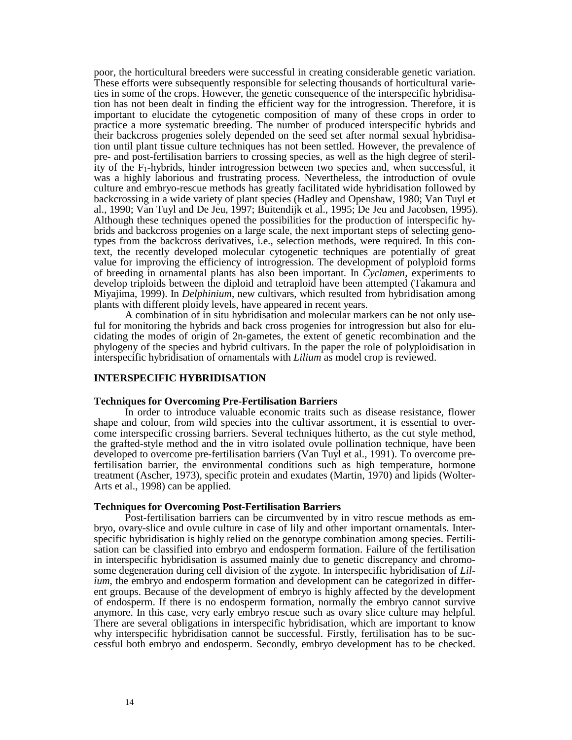poor, the horticultural breeders were successful in creating considerable genetic variation. These efforts were subsequently responsible for selecting thousands of horticultural varieties in some of the crops. However, the genetic consequence of the interspecific hybridisation has not been dealt in finding the efficient way for the introgression. Therefore, it is important to elucidate the cytogenetic composition of many of these crops in order to practice a more systematic breeding. The number of produced interspecific hybrids and their backcross progenies solely depended on the seed set after normal sexual hybridisation until plant tissue culture techniques has not been settled. However, the prevalence of pre- and post-fertilisation barriers to crossing species, as well as the high degree of sterility of the  $F_1$ -hybrids, hinder introgression between two species and, when successful, it was a highly laborious and frustrating process. Nevertheless, the introduction of ovule culture and embryo-rescue methods has greatly facilitated wide hybridisation followed by backcrossing in a wide variety of plant species (Hadley and Openshaw, 1980; Van Tuyl et al., 1990; Van Tuyl and De Jeu, 1997; Buitendijk et al., 1995; De Jeu and Jacobsen, 1995). Although these techniques opened the possibilities for the production of interspecific hybrids and backcross progenies on a large scale, the next important steps of selecting genotypes from the backcross derivatives, i.e., selection methods, were required. In this context, the recently developed molecular cytogenetic techniques are potentially of great value for improving the efficiency of introgression. The development of polyploid forms of breeding in ornamental plants has also been important. In *Cyclamen*, experiments to develop triploids between the diploid and tetraploid have been attempted (Takamura and Miyajima, 1999). In *Delphinium*, new cultivars, which resulted from hybridisation among plants with different ploidy levels, have appeared in recent years.

A combination of in situ hybridisation and molecular markers can be not only useful for monitoring the hybrids and back cross progenies for introgression but also for elucidating the modes of origin of 2n-gametes, the extent of genetic recombination and the phylogeny of the species and hybrid cultivars. In the paper the role of polyploidisation in interspecific hybridisation of ornamentals with *Lilium* as model crop is reviewed.

### **INTERSPECIFIC HYBRIDISATION**

#### **Techniques for Overcoming Pre-Fertilisation Barriers**

In order to introduce valuable economic traits such as disease resistance, flower shape and colour, from wild species into the cultivar assortment, it is essential to overcome interspecific crossing barriers. Several techniques hitherto, as the cut style method, the grafted-style method and the in vitro isolated ovule pollination technique, have been developed to overcome pre-fertilisation barriers (Van Tuyl et al., 1991). To overcome prefertilisation barrier, the environmental conditions such as high temperature, hormone treatment (Ascher, 1973), specific protein and exudates (Martin, 1970) and lipids (Wolter-Arts et al., 1998) can be applied.

#### **Techniques for Overcoming Post-Fertilisation Barriers**

Post-fertilisation barriers can be circumvented by in vitro rescue methods as embryo, ovary-slice and ovule culture in case of lily and other important ornamentals. Interspecific hybridisation is highly relied on the genotype combination among species. Fertilisation can be classified into embryo and endosperm formation. Failure of the fertilisation in interspecific hybridisation is assumed mainly due to genetic discrepancy and chromosome degeneration during cell division of the zygote. In interspecific hybridisation of *Lilium*, the embryo and endosperm formation and development can be categorized in different groups. Because of the development of embryo is highly affected by the development of endosperm. If there is no endosperm formation, normally the embryo cannot survive anymore. In this case, very early embryo rescue such as ovary slice culture may helpful. There are several obligations in interspecific hybridisation, which are important to know why interspecific hybridisation cannot be successful. Firstly, fertilisation has to be successful both embryo and endosperm. Secondly, embryo development has to be checked.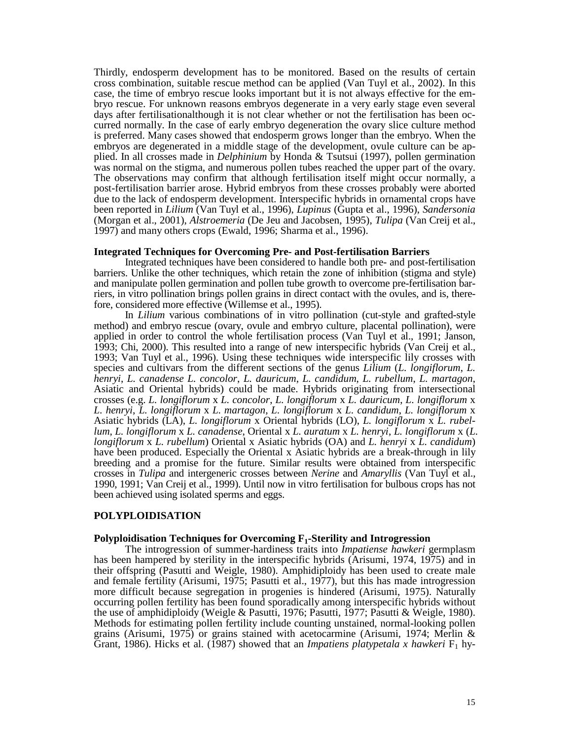Thirdly, endosperm development has to be monitored. Based on the results of certain cross combination, suitable rescue method can be applied (Van Tuyl et al., 2002). In this case, the time of embryo rescue looks important but it is not always effective for the embryo rescue. For unknown reasons embryos degenerate in a very early stage even several days after fertilisationalthough it is not clear whether or not the fertilisation has been occurred normally. In the case of early embryo degeneration the ovary slice culture method is preferred. Many cases showed that endosperm grows longer than the embryo. When the embryos are degenerated in a middle stage of the development, ovule culture can be applied. In all crosses made in *Delphinium* by Honda & Tsutsui (1997), pollen germination was normal on the stigma, and numerous pollen tubes reached the upper part of the ovary. The observations may confirm that although fertilisation itself might occur normally, a post-fertilisation barrier arose. Hybrid embryos from these crosses probably were aborted due to the lack of endosperm development. Interspecific hybrids in ornamental crops have been reported in *Lilium* (Van Tuyl et al., 1996), *Lupinus* (Gupta et al., 1996), *Sandersonia* (Morgan et al., 2001), *Alstroemeria* (De Jeu and Jacobsen, 1995), *Tulipa* (Van Creij et al., 1997) and many others crops (Ewald, 1996; Sharma et al., 1996).

### **Integrated Techniques for Overcoming Pre- and Post-fertilisation Barriers**

Integrated techniques have been considered to handle both pre- and post-fertilisation barriers. Unlike the other techniques, which retain the zone of inhibition (stigma and style) and manipulate pollen germination and pollen tube growth to overcome pre-fertilisation barriers, in vitro pollination brings pollen grains in direct contact with the ovules, and is, therefore, considered more effective (Willemse et al., 1995).

In *Lilium* various combinations of in vitro pollination (cut-style and grafted-style method) and embryo rescue (ovary, ovule and embryo culture, placental pollination), were applied in order to control the whole fertilisation process (Van Tuyl et al., 1991; Janson, 1993; Chi, 2000). This resulted into a range of new interspecific hybrids (Van Creij et al., 1993; Van Tuyl et al., 1996). Using these techniques wide interspecific lily crosses with species and cultivars from the different sections of the genus *Lilium* (*L. longiflorum*, *L. henryi*, *L. canadense L. concolor*, *L. dauricum*, *L. candidum*, *L. rubellum*, *L. martagon*, Asiatic and Oriental hybrids) could be made. Hybrids originating from intersectional crosses (e.g. *L. longiflorum* x *L. concolor*, *L. longiflorum* x *L. dauricum*, *L. longiflorum* x *L. henryi*, *L. longiflorum* x *L. martagon*, *L. longiflorum* x *L. candidum*, *L. longiflorum* x Asiatic hybrids (LA), *L. longiflorum* x Oriental hybrids (LO), *L. longiflorum* x *L. rubellum*, *L. longiflorum* x *L. canadense*, Oriental x *L. auratum* x *L. henryi*, *L. longiflorum* x (*L. longiflorum* x *L. rubellum*) Oriental x Asiatic hybrids (OA) and *L. henryi* x *L. candidum*) have been produced. Especially the Oriental x Asiatic hybrids are a break-through in lily breeding and a promise for the future. Similar results were obtained from interspecific crosses in *Tulipa* and intergeneric crosses between *Nerine* and *Amaryllis* (Van Tuyl et al., 1990, 1991; Van Creij et al., 1999). Until now in vitro fertilisation for bulbous crops has not been achieved using isolated sperms and eggs.

### **POLYPLOIDISATION**

# Polyploidisation Techniques for Overcoming F<sub>1</sub>-Sterility and Introgression

The introgression of summer-hardiness traits into *Impatiense hawkeri* germplasm has been hampered by sterility in the interspecific hybrids (Arisumi, 1974, 1975) and in their offspring (Pasutti and Weigle, 1980). Amphidiploidy has been used to create male and female fertility (Arisumi, 1975; Pasutti et al., 1977), but this has made introgression more difficult because segregation in progenies is hindered (Arisumi, 1975). Naturally occurring pollen fertility has been found sporadically among interspecific hybrids without the use of amphidiploidy (Weigle & Pasutti, 1976; Pasutti, 1977; Pasutti & Weigle, 1980). Methods for estimating pollen fertility include counting unstained, normal-looking pollen grains (Arisumi, 1975) or grains stained with acetocarmine (Arisumi, 1974; Merlin & Grant, 1986). Hicks et al. (1987) showed that an *Impatiens platypetala x hawkeri*  $F_1$  hy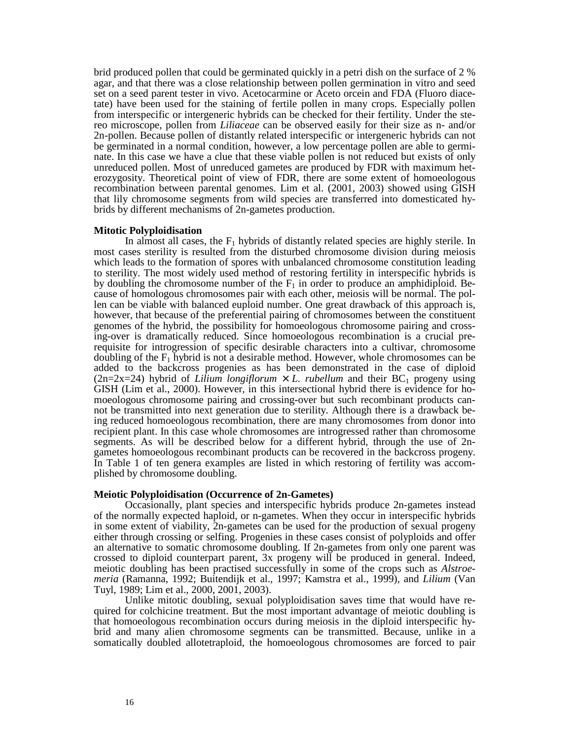brid produced pollen that could be germinated quickly in a petri dish on the surface of 2 % agar, and that there was a close relationship between pollen germination in vitro and seed set on a seed parent tester in vivo. Acetocarmine or Aceto orcein and FDA (Fluoro diacetate) have been used for the staining of fertile pollen in many crops. Especially pollen from interspecific or intergeneric hybrids can be checked for their fertility. Under the stereo microscope, pollen from *Liliaceae* can be observed easily for their size as n- and/or 2n-pollen. Because pollen of distantly related interspecific or intergeneric hybrids can not be germinated in a normal condition, however, a low percentage pollen are able to germinate. In this case we have a clue that these viable pollen is not reduced but exists of only unreduced pollen. Most of unreduced gametes are produced by FDR with maximum heterozygosity. Theoretical point of view of FDR, there are some extent of homoeologous recombination between parental genomes. Lim et al. (2001, 2003) showed using GISH that lily chromosome segments from wild species are transferred into domesticated hybrids by different mechanisms of 2n-gametes production.

#### **Mitotic Polyploidisation**

In almost all cases, the  $F_1$  hybrids of distantly related species are highly sterile. In most cases sterility is resulted from the disturbed chromosome division during meiosis which leads to the formation of spores with unbalanced chromosome constitution leading to sterility. The most widely used method of restoring fertility in interspecific hybrids is by doubling the chromosome number of the  $F_1$  in order to produce an amphidiploid. Because of homologous chromosomes pair with each other, meiosis will be normal. The pollen can be viable with balanced euploid number. One great drawback of this approach is, however, that because of the preferential pairing of chromosomes between the constituent genomes of the hybrid, the possibility for homoeologous chromosome pairing and crossing-over is dramatically reduced. Since homoeologous recombination is a crucial prerequisite for introgression of specific desirable characters into a cultivar, chromosome doubling of the  $F_1$  hybrid is not a desirable method. However, whole chromosomes can be added to the backcross progenies as has been demonstrated in the case of diploid (2n=2x=24) hybrid of *Lilium longiflorum*  $\times$  *L. rubellum* and their BC<sub>1</sub> progeny using GISH (Lim et al., 2000). However, in this intersectional hybrid there is evidence for homoeologous chromosome pairing and crossing-over but such recombinant products cannot be transmitted into next generation due to sterility. Although there is a drawback being reduced homoeologous recombination, there are many chromosomes from donor into recipient plant. In this case whole chromosomes are introgressed rather than chromosome segments. As will be described below for a different hybrid, through the use of 2ngametes homoeologous recombinant products can be recovered in the backcross progeny. In Table 1 of ten genera examples are listed in which restoring of fertility was accomplished by chromosome doubling.

### **Meiotic Polyploidisation (Occurrence of 2n-Gametes)**

Occasionally, plant species and interspecific hybrids produce 2n-gametes instead of the normally expected haploid, or n-gametes. When they occur in interspecific hybrids in some extent of viability, 2n-gametes can be used for the production of sexual progeny either through crossing or selfing. Progenies in these cases consist of polyploids and offer an alternative to somatic chromosome doubling. If 2n-gametes from only one parent was crossed to diploid counterpart parent, 3x progeny will be produced in general. Indeed, meiotic doubling has been practised successfully in some of the crops such as *Alstroemeria* (Ramanna, 1992; Buitendijk et al., 1997; Kamstra et al., 1999), and *Lilium* (Van Tuyl, 1989; Lim et al., 2000, 2001, 2003).

Unlike mitotic doubling, sexual polyploidisation saves time that would have required for colchicine treatment. But the most important advantage of meiotic doubling is that homoeologous recombination occurs during meiosis in the diploid interspecific hybrid and many alien chromosome segments can be transmitted. Because, unlike in a somatically doubled allotetraploid, the homoeologous chromosomes are forced to pair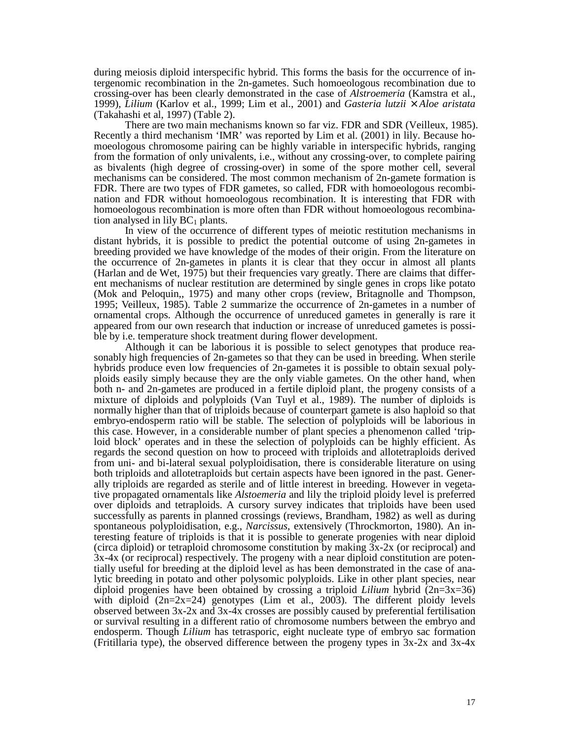during meiosis diploid interspecific hybrid. This forms the basis for the occurrence of intergenomic recombination in the 2n-gametes. Such homoeologous recombination due to crossing-over has been clearly demonstrated in the case of *Alstroemeria* (Kamstra et al., 1999), *Lilium* (Karlov et al., 1999; Lim et al., 2001) and *Gasteria lutzii* × *Aloe aristata*  (Takahashi et al, 1997) (Table 2).

There are two main mechanisms known so far viz. FDR and SDR (Veilleux, 1985). Recently a third mechanism 'IMR' was reported by Lim et al. (2001) in lily. Because homoeologous chromosome pairing can be highly variable in interspecific hybrids, ranging from the formation of only univalents, i.e., without any crossing-over, to complete pairing as bivalents (high degree of crossing-over) in some of the spore mother cell, several mechanisms can be considered. The most common mechanism of 2n-gamete formation is FDR. There are two types of FDR gametes, so called, FDR with homoeologous recombination and FDR without homoeologous recombination. It is interesting that FDR with homoeologous recombination is more often than FDR without homoeologous recombination analysed in lily  $BC<sub>1</sub>$  plants.

In view of the occurrence of different types of meiotic restitution mechanisms in distant hybrids, it is possible to predict the potential outcome of using 2n-gametes in breeding provided we have knowledge of the modes of their origin. From the literature on the occurrence of 2n-gametes in plants it is clear that they occur in almost all plants (Harlan and de Wet, 1975) but their frequencies vary greatly. There are claims that different mechanisms of nuclear restitution are determined by single genes in crops like potato (Mok and Peloquin,, 1975) and many other crops (review, Britagnolle and Thompson, 1995; Veilleux, 1985). Table 2 summarize the occurrence of 2n-gametes in a number of ornamental crops. Although the occurrence of unreduced gametes in generally is rare it appeared from our own research that induction or increase of unreduced gametes is possible by i.e. temperature shock treatment during flower development.

Although it can be laborious it is possible to select genotypes that produce reasonably high frequencies of 2n-gametes so that they can be used in breeding. When sterile hybrids produce even low frequencies of 2n-gametes it is possible to obtain sexual polyploids easily simply because they are the only viable gametes. On the other hand, when both n- and 2n-gametes are produced in a fertile diploid plant, the progeny consists of a mixture of diploids and polyploids (Van Tuyl et al., 1989). The number of diploids is normally higher than that of triploids because of counterpart gamete is also haploid so that embryo-endosperm ratio will be stable. The selection of polyploids will be laborious in this case. However, in a considerable number of plant species a phenomenon called 'triploid block' operates and in these the selection of polyploids can be highly efficient. As regards the second question on how to proceed with triploids and allotetraploids derived from uni- and bi-lateral sexual polyploidisation, there is considerable literature on using both triploids and allotetraploids but certain aspects have been ignored in the past. Generally triploids are regarded as sterile and of little interest in breeding. However in vegetative propagated ornamentals like *Alstoemeria* and lily the triploid ploidy level is preferred over diploids and tetraploids. A cursory survey indicates that triploids have been used successfully as parents in planned crossings (reviews, Brandham, 1982) as well as during spontaneous polyploidisation, e.g., *Narcissus*, extensively (Throckmorton, 1980). An interesting feature of triploids is that it is possible to generate progenies with near diploid (circa diploid) or tetraploid chromosome constitution by making 3x-2x (or reciprocal) and 3x-4x (or reciprocal) respectively. The progeny with a near diploid constitution are potentially useful for breeding at the diploid level as has been demonstrated in the case of analytic breeding in potato and other polysomic polyploids. Like in other plant species, near diploid progenies have been obtained by crossing a triploid *Lilium* hybrid (2n=3x=36) with diploid  $(2n=2x=24)$  genotypes (Lim et al., 2003). The different ploidy levels observed between 3x-2x and 3x-4x crosses are possibly caused by preferential fertilisation or survival resulting in a different ratio of chromosome numbers between the embryo and endosperm. Though *Lilium* has tetrasporic, eight nucleate type of embryo sac formation (Fritillaria type), the observed difference between the progeny types in 3x-2x and 3x-4x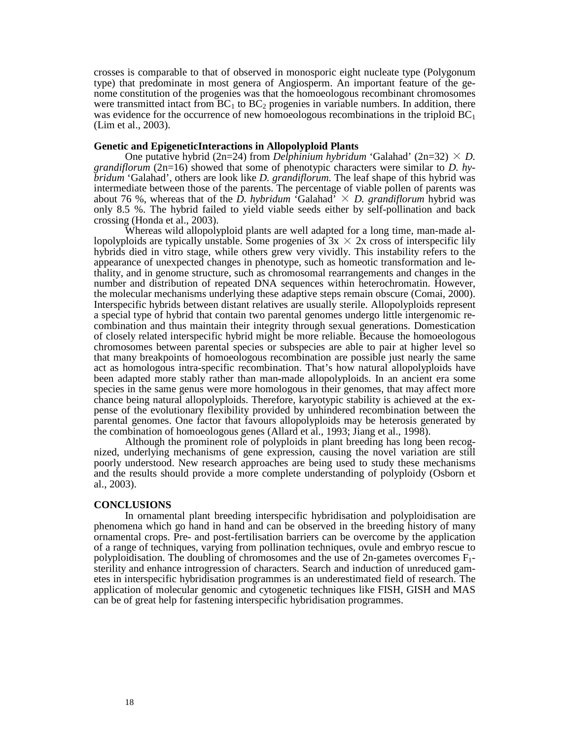crosses is comparable to that of observed in monosporic eight nucleate type (Polygonum type) that predominate in most genera of Angiosperm. An important feature of the genome constitution of the progenies was that the homoeologous recombinant chromosomes were transmitted intact from  $BC_1$  to  $BC_2$  progenies in variable numbers. In addition, there was evidence for the occurrence of new homoeologous recombinations in the triploid  $BC<sub>1</sub>$ (Lim et al., 2003).

### **Genetic and EpigeneticInteractions in Allopolyploid Plants**

One putative hybrid (2n=24) from *Delphinium hybridum* 'Galahad' (2n=32)  $\times$  *D*. *grandiflorum* (2n=16) showed that some of phenotypic characters were similar to *D. hybridum* 'Galahad', others are look like *D. grandiflorum.* The leaf shape of this hybrid was intermediate between those of the parents. The percentage of viable pollen of parents was about 76 %, whereas that of the  $\overline{D}$ . *hybridum*  $\overline{G}$  Galahad<sup> $\overline{Y}$   $\times$  *D. grandiflorum* hybrid was</sup> only 8.5 %. The hybrid failed to yield viable seeds either by self-pollination and back crossing (Honda et al., 2003).

Whereas wild allopolyploid plants are well adapted for a long time, man-made allopolyploids are typically unstable. Some progenies of  $3x \times 2x$  cross of interspecific lily hybrids died in vitro stage, while others grew very vividly. This instability refers to the appearance of unexpected changes in phenotype, such as homeotic transformation and lethality, and in genome structure, such as chromosomal rearrangements and changes in the number and distribution of repeated DNA sequences within heterochromatin. However, the molecular mechanisms underlying these adaptive steps remain obscure (Comai, 2000). Interspecific hybrids between distant relatives are usually sterile. Allopolyploids represent a special type of hybrid that contain two parental genomes undergo little intergenomic recombination and thus maintain their integrity through sexual generations. Domestication of closely related interspecific hybrid might be more reliable. Because the homoeologous chromosomes between parental species or subspecies are able to pair at higher level so that many breakpoints of homoeologous recombination are possible just nearly the same act as homologous intra-specific recombination. That's how natural allopolyploids have been adapted more stably rather than man-made allopolyploids. In an ancient era some species in the same genus were more homologous in their genomes, that may affect more chance being natural allopolyploids. Therefore, karyotypic stability is achieved at the expense of the evolutionary flexibility provided by unhindered recombination between the parental genomes. One factor that favours allopolyploids may be heterosis generated by the combination of homoeologous genes (Allard et al., 1993; Jiang et al., 1998).

Although the prominent role of polyploids in plant breeding has long been recognized, underlying mechanisms of gene expression, causing the novel variation are still poorly understood. New research approaches are being used to study these mechanisms and the results should provide a more complete understanding of polyploidy (Osborn et al., 2003).

#### **CONCLUSIONS**

In ornamental plant breeding interspecific hybridisation and polyploidisation are phenomena which go hand in hand and can be observed in the breeding history of many ornamental crops. Pre- and post-fertilisation barriers can be overcome by the application of a range of techniques, varying from pollination techniques, ovule and embryo rescue to polyploidisation. The doubling of chromosomes and the use of  $2n$ -gametes overcomes  $F_1$ sterility and enhance introgression of characters. Search and induction of unreduced gametes in interspecific hybridisation programmes is an underestimated field of research. The application of molecular genomic and cytogenetic techniques like FISH, GISH and MAS can be of great help for fastening interspecific hybridisation programmes.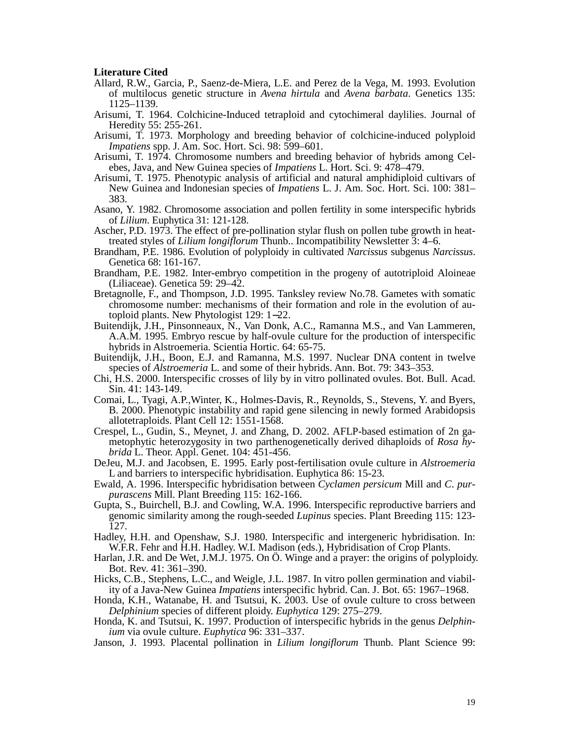### **Literature Cited**

- Allard, R.W., Garcia, P., Saenz-de-Miera, L.E. and Perez de la Vega, M. 1993. Evolution of multilocus genetic structure in *Avena hirtula* and *Avena barbata*. Genetics 135: 1125–1139.
- Arisumi, T. 1964. Colchicine-Induced tetraploid and cytochimeral daylilies. Journal of Heredity 55: 255-261.
- Arisumi, T. 1973. Morphology and breeding behavior of colchicine-induced polyploid *Impatiens* spp. J. Am. Soc. Hort. Sci. 98: 599–601.
- Arisumi, T. 1974. Chromosome numbers and breeding behavior of hybrids among Celebes, Java, and New Guinea species of *Impatiens* L. Hort. Sci. 9: 478–479.
- Arisumi, T. 1975. Phenotypic analysis of artificial and natural amphidiploid cultivars of New Guinea and Indonesian species of *Impatiens* L. J. Am. Soc. Hort. Sci. 100: 381– 383.
- Asano, Y. 1982. Chromosome association and pollen fertility in some interspecific hybrids of *Lilium*. Euphytica 31: 121-128.
- Ascher, P.D. 1973. The effect of pre-pollination stylar flush on pollen tube growth in heattreated styles of *Lilium longiflorum* Thunb.. Incompatibility Newsletter 3: 4–6.
- Brandham, P.E. 1986. Evolution of polyploidy in cultivated *Narcissus* subgenus *Narcissus*. Genetica 68: 161-167.
- Brandham, P.E. 1982. Inter-embryo competition in the progeny of autotriploid Aloineae (Liliaceae). Genetica 59: 29–42.
- Bretagnolle, F., and Thompson, J.D. 1995. Tanksley review No.78. Gametes with somatic chromosome number: mechanisms of their formation and role in the evolution of autoploid plants. New Phytologist 129: 1−22.
- Buitendijk, J.H., Pinsonneaux, N., Van Donk, A.C., Ramanna M.S., and Van Lammeren, A.A.M. 1995. Embryo rescue by half-ovule culture for the production of interspecific hybrids in Alstroemeria. Scientia Hortic. 64: 65-75.
- Buitendijk, J.H., Boon, E.J. and Ramanna, M.S. 1997. Nuclear DNA content in twelve species of *Alstroemeria* L. and some of their hybrids. Ann. Bot. 79: 343–353.
- Chi, H.S. 2000. Interspecific crosses of lily by in vitro pollinated ovules. Bot. Bull. Acad. Sin. 41: 143-149.
- Comai, L., Tyagi, A.P.,Winter, K., Holmes-Davis, R., Reynolds, S., Stevens, Y. and Byers, B. 2000. Phenotypic instability and rapid gene silencing in newly formed Arabidopsis allotetraploids. Plant Cell 12: 1551-1568.
- Crespel, L., Gudin, S., Meynet, J. and Zhang, D. 2002. AFLP-based estimation of 2n gametophytic heterozygosity in two parthenogenetically derived dihaploids of *Rosa hybrida* L. Theor. Appl. Genet. 104: 451-456.
- DeJeu, M.J. and Jacobsen, E. 1995. Early post-fertilisation ovule culture in *Alstroemeria* L and barriers to interspecific hybridisation. Euphytica 86: 15-23.
- Ewald, A. 1996. Interspecific hybridisation between *Cyclamen persicum* Mill and *C*. *purpurascens* Mill. Plant Breeding 115: 162-166.
- Gupta, S., Buirchell, B.J. and Cowling, W.A. 1996. Interspecific reproductive barriers and genomic similarity among the rough-seeded *Lupinus* species. Plant Breeding 115: 123- 127.
- Hadley, H.H. and Openshaw, S.J. 1980. Interspecific and intergeneric hybridisation. In: W.F.R. Fehr and H.H. Hadley. W.I. Madison (eds.), Hybridisation of Crop Plants. Harlan, J.R. and De Wet, J.M.J. 1975. On Ö. Winge and a prayer: the origins of polyploidy.
- Bot. Rev. 41: 361–390.
- Hicks, C.B., Stephens, L.C., and Weigle, J.L. 1987. In vitro pollen germination and viability of a Java-New Guinea *Impatiens* interspecific hybrid. Can. J. Bot. 65: 1967–1968.
- Honda, K.H., Watanabe, H. and Tsutsui, K. 2003. Use of ovule culture to cross between *Delphinium* species of different ploidy. *Euphytica* 129: 275–279.
- Honda, K. and Tsutsui, K. 1997. Production of interspecific hybrids in the genus *Delphinium* via ovule culture. *Euphytica* 96: 331–337.
- Janson, J. 1993. Placental pollination in *Lilium longiflorum* Thunb. Plant Science 99: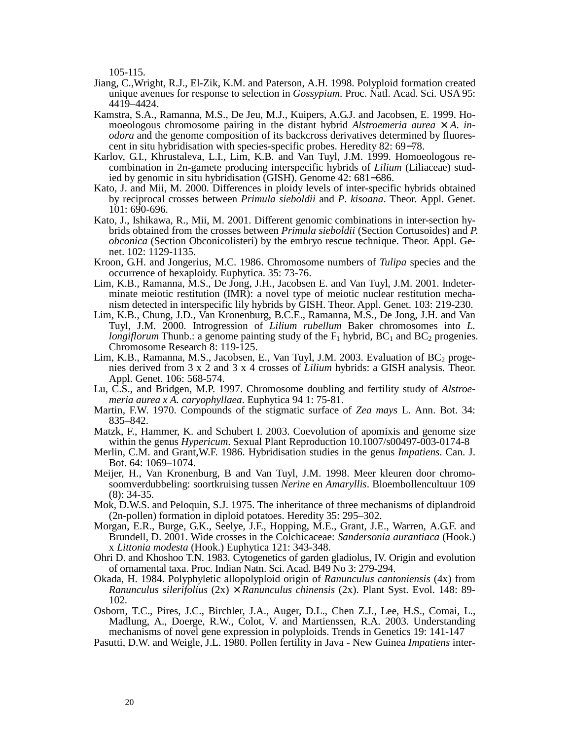105-115.

- Jiang, C.,Wright, R.J., El-Zik, K.M. and Paterson, A.H. 1998. Polyploid formation created unique avenues for response to selection in *Gossypium*. Proc. Natl. Acad. Sci. USA 95: 4419–4424.
- Kamstra, S.A., Ramanna, M.S., De Jeu, M.J., Kuipers, A.G.J. and Jacobsen, E. 1999. Homoeologous chromosome pairing in the distant hybrid *Alstroemeria aurea*  $\times$  *A. inodora* and the genome composition of its backcross derivatives determined by fluorescent in situ hybridisation with species-specific probes. Heredity 82: 69−78.
- Karlov, G.I., Khrustaleva, L.I., Lim, K.B. and Van Tuyl, J.M. 1999. Homoeologous recombination in 2n-gamete producing interspecific hybrids of *Lilium* (Liliaceae) studied by genomic in situ hybridisation (GISH). Genome 42: 681−686.
- Kato, J. and Mii, M. 2000. Differences in ploidy levels of inter-specific hybrids obtained by reciprocal crosses between *Primula sieboldii* and *P*. *kisoana*. Theor. Appl. Genet. 101: 690-696.
- Kato, J., Ishikawa, R., Mii, M. 2001. Different genomic combinations in inter-section hybrids obtained from the crosses between *Primula sieboldii* (Section Cortusoides) and *P. obconica* (Section Obconicolisteri) by the embryo rescue technique. Theor. Appl. Genet. 102: 1129-1135.
- Kroon, G.H. and Jongerius, M.C. 1986. Chromosome numbers of *Tulipa* species and the occurrence of hexaploidy. Euphytica. 35: 73-76.
- Lim, K.B., Ramanna, M.S., De Jong, J.H., Jacobsen E. and Van Tuyl, J.M. 2001. Indeterminate meiotic restitution (IMR): a novel type of meiotic nuclear restitution mechanism detected in interspecific lily hybrids by GISH. Theor. Appl. Genet. 103: 219-230.
- Lim, K.B., Chung, J.D., Van Kronenburg, B.C.E., Ramanna, M.S., De Jong, J.H. and Van Tuyl, J.M. 2000. Introgression of *Lilium rubellum* Baker chromosomes into *L. longiflorum* Thunb.: a genome painting study of the  $F_1$  hybrid,  $BC_1$  and  $BC_2$  progenies. Chromosome Research 8: 119-125.
- Lim, K.B., Ramanna, M.S., Jacobsen, E., Van Tuyl, J.M. 2003. Evaluation of  $BC_2$  progenies derived from 3 x 2 and 3 x 4 crosses of *Lilium* hybrids: a GISH analysis. Theor. Appl. Genet. 106: 568-574.
- Lu, C.S., and Bridgen, M.P. 1997. Chromosome doubling and fertility study of *Alstroemeria aurea x A. caryophyllaea*. Euphytica 94 1: 75-81.
- Martin, F.W. 1970. Compounds of the stigmatic surface of *Zea mays* L. Ann. Bot. 34: 835–842.
- Matzk, F., Hammer, K. and Schubert I. 2003. Coevolution of apomixis and genome size within the genus *Hypericum*. Sexual Plant Reproduction 10.1007/s00497-003-0174-8
- Merlin, C.M. and Grant,W.F. 1986. Hybridisation studies in the genus *Impatiens*. Can. J. Bot. 64: 1069–1074.
- Meijer, H., Van Kronenburg, B and Van Tuyl, J.M. 1998. Meer kleuren door chromosoomverdubbeling: soortkruising tussen *Nerine* en *Amaryllis*. Bloembollencultuur 109 (8): 34-35.
- Mok, D.W.S. and Peloquin, S.J. 1975. The inheritance of three mechanisms of diplandroid (2n-pollen) formation in diploid potatoes. Heredity 35: 295–302.
- Morgan, E.R., Burge, G.K., Seelye, J.F., Hopping, M.E., Grant, J.E., Warren, A.G.F. and Brundell, D. 2001. Wide crosses in the Colchicaceae: *Sandersonia aurantiaca* (Hook.) x *Littonia modesta* (Hook.) Euphytica 121: 343-348.
- Ohri D. and Khoshoo T.N. 1983. Cytogenetics of garden gladiolus, IV. Origin and evolution of ornamental taxa. Proc. Indian Natn. Sci. Acad. B49 No 3: 279-294.
- Okada, H. 1984. Polyphyletic allopolyploid origin of *Ranunculus cantoniensis* (4x) from *Ranunculus silerifolius* (2x) × *Ranunculus chinensis* (2x). Plant Syst. Evol. 148: 89- 102.
- Osborn, T.C., Pires, J.C., Birchler, J.A., Auger, D.L., Chen Z.J., Lee, H.S., Comai, L., Madlung, A., Doerge, R.W., Colot, V. and Martienssen, R.A. 2003. Understanding mechanisms of novel gene expression in polyploids. Trends in Genetics 19: 141-147
- Pasutti, D.W. and Weigle, J.L. 1980. Pollen fertility in Java New Guinea *Impatiens* inter-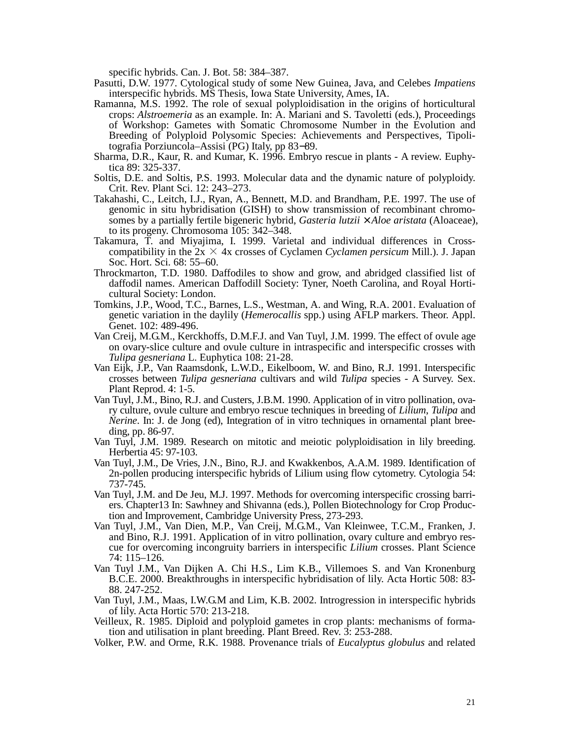specific hybrids. Can. J. Bot. 58: 384–387.

- Pasutti, D.W. 1977. Cytological study of some New Guinea, Java, and Celebes *Impatiens*  interspecific hybrids. MS Thesis, Iowa State University, Ames, IA.
- Ramanna, M.S. 1992. The role of sexual polyploidisation in the origins of horticultural crops: *Alstroemeria* as an example. In: A. Mariani and S. Tavoletti (eds.), Proceedings of Workshop: Gametes with Somatic Chromosome Number in the Evolution and Breeding of Polyploid Polysomic Species: Achievements and Perspectives, Tipolitografia Porziuncola–Assisi (PG) Italy, pp 83−89.
- Sharma, D.R., Kaur, R. and Kumar, K. 1996. Embryo rescue in plants A review. Euphytica 89: 325-337.
- Soltis, D.E. and Soltis, P.S. 1993. Molecular data and the dynamic nature of polyploidy. Crit. Rev. Plant Sci. 12: 243–273.
- Takahashi, C., Leitch, I.J., Ryan, A., Bennett, M.D. and Brandham, P.E. 1997. The use of genomic in situ hybridisation (GISH) to show transmission of recombinant chromosomes by a partially fertile bigeneric hybrid, *Gasteria lutzii* × *Aloe aristata* (Aloaceae), to its progeny. Chromosoma 105: 342–348.
- Takamura, T. and Miyajima, I. 1999. Varietal and individual differences in Crosscompatibility in the  $2x \times 4x$  crosses of Cyclamen *Cyclamen persicum* Mill.). J. Japan Soc. Hort. Sci. 68: 55–60.
- Throckmarton, T.D. 1980. Daffodiles to show and grow, and abridged classified list of daffodil names. American Daffodill Society: Tyner, Noeth Carolina, and Royal Horticultural Society: London.
- Tomkins, J.P., Wood, T.C., Barnes, L.S., Westman, A. and Wing, R.A. 2001. Evaluation of genetic variation in the daylily (*Hemerocallis* spp.) using AFLP markers. Theor. Appl. Genet. 102: 489-496.
- Van Creij, M.G.M., Kerckhoffs, D.M.F.J. and Van Tuyl, J.M. 1999. The effect of ovule age on ovary-slice culture and ovule culture in intraspecific and interspecific crosses with *Tulipa gesneriana* L. Euphytica 108: 21-28.
- Van Eijk, J.P., Van Raamsdonk, L.W.D., Eikelboom, W. and Bino, R.J. 1991. Interspecific crosses between *Tulipa gesneriana* cultivars and wild *Tulipa* species - A Survey. Sex. Plant Reprod. 4: 1-5.
- Van Tuyl, J.M., Bino, R.J. and Custers, J.B.M. 1990. Application of in vitro pollination, ovary culture, ovule culture and embryo rescue techniques in breeding of *Lilium*, *Tulipa* and *Nerine*. In: J. de Jong (ed), Integration of in vitro techniques in ornamental plant breeding, pp. 86-97.
- Van Tuyl, J.M. 1989. Research on mitotic and meiotic polyploidisation in lily breeding. Herbertia 45: 97-103.
- Van Tuyl, J.M., De Vries, J.N., Bino, R.J. and Kwakkenbos, A.A.M. 1989. Identification of 2n-pollen producing interspecific hybrids of Lilium using flow cytometry. Cytologia 54: 737-745.
- Van Tuyl, J.M. and De Jeu, M.J. 1997. Methods for overcoming interspecific crossing barriers. Chapter13 In: Sawhney and Shivanna (eds.), Pollen Biotechnology for Crop Production and Improvement, Cambridge University Press, 273-293.
- Van Tuyl, J.M., Van Dien, M.P., Van Creij, M.G.M., Van Kleinwee, T.C.M., Franken, J. and Bino, R.J. 1991. Application of in vitro pollination, ovary culture and embryo rescue for overcoming incongruity barriers in interspecific *Lilium* crosses. Plant Science 74: 115–126.
- Van Tuyl J.M., Van Dijken A. Chi H.S., Lim K.B., Villemoes S. and Van Kronenburg B.C.E. 2000. Breakthroughs in interspecific hybridisation of lily. Acta Hortic 508: 83- 88. 247-252.
- Van Tuyl, J.M., Maas, I.W.G.M and Lim, K.B. 2002. Introgression in interspecific hybrids of lily. Acta Hortic 570: 213-218.
- Veilleux, R. 1985. Diploid and polyploid gametes in crop plants: mechanisms of formation and utilisation in plant breeding. Plant Breed. Rev. 3: 253-288.
- Volker, P.W. and Orme, R.K. 1988. Provenance trials of *Eucalyptus globulus* and related